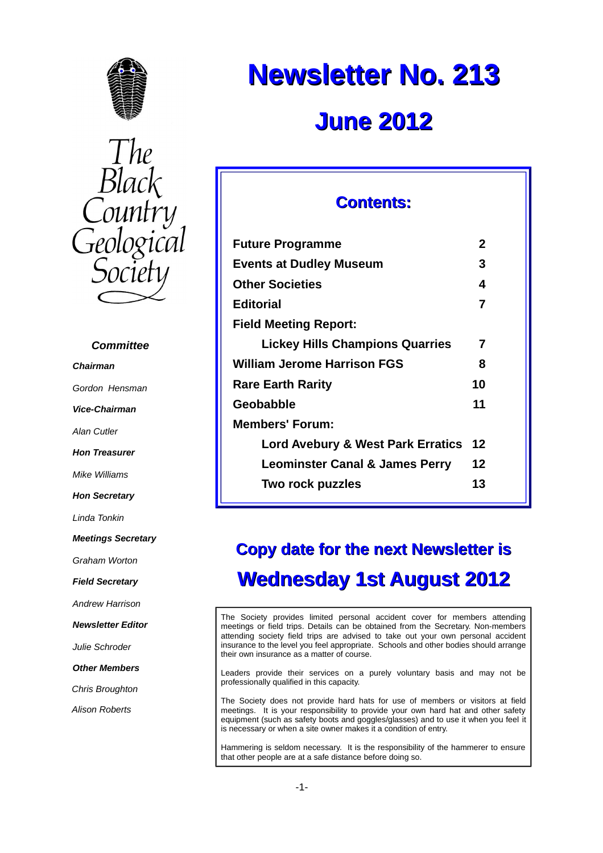



#### *Committee*

*Chairman*

*Gordon Hensman*

*Vice-Chairman*

*Alan Cutler*

*Hon Treasurer*

*Mike Williams*

*Hon Secretary*

*Linda Tonkin*

*Meetings Secretary*

*Graham Worton*

*Field Secretary*

*Andrew Harrison*

*Newsletter Editor*

*Julie Schroder*

*Other Members*

*Chris Broughton*

*Alison Roberts*

# **Newsletter No. 213 June 2012**

# **Contents:**

| <b>Future Programme</b>                   | 2  |  |
|-------------------------------------------|----|--|
| <b>Events at Dudley Museum</b>            | 3  |  |
| <b>Other Societies</b>                    | 4  |  |
| Editorial                                 | 7  |  |
| <b>Field Meeting Report:</b>              |    |  |
| <b>Lickey Hills Champions Quarries</b>    | 7  |  |
| William Jerome Harrison FGS               | 8  |  |
| <b>Rare Earth Rarity</b>                  | 10 |  |
| Geobabble                                 | 11 |  |
| Members' Forum:                           |    |  |
| Lord Avebury & West Park Erratics 12      |    |  |
| <b>Leominster Canal &amp; James Perry</b> | 12 |  |
| Two rock puzzles                          | 13 |  |
|                                           |    |  |

# **Copy date for the next Newsletter is Wednesday 1st August 2012**

The Society provides limited personal accident cover for members attending meetings or field trips. Details can be obtained from the Secretary. Non-members attending society field trips are advised to take out your own personal accident insurance to the level you feel appropriate. Schools and other bodies should arrange their own insurance as a matter of course.

Leaders provide their services on a purely voluntary basis and may not be professionally qualified in this capacity.

The Society does not provide hard hats for use of members or visitors at field meetings. It is your responsibility to provide your own hard hat and other safety equipment (such as safety boots and goggles/glasses) and to use it when you feel it is necessary or when a site owner makes it a condition of entry.

Hammering is seldom necessary. It is the responsibility of the hammerer to ensure that other people are at a safe distance before doing so.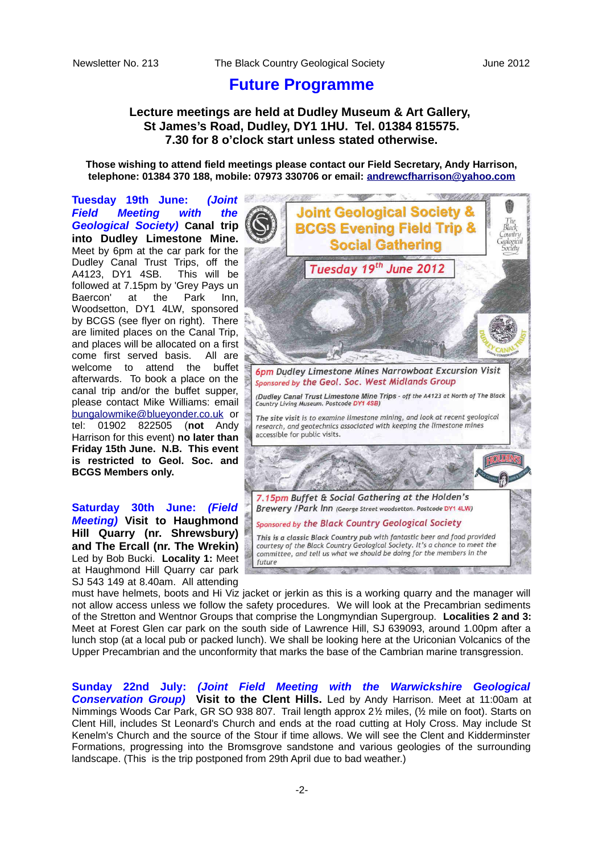### **Future Programme**

#### **Lecture meetings are held at Dudley Museum & Art Gallery, St James's Road, Dudley, DY1 1HU. Tel. 01384 815575. 7.30 for 8 o'clock start unless stated otherwise.**

**Those wishing to attend field meetings please contact our Field Secretary, Andy Harrison, telephone: 01384 370 188, mobile: 07973 330706 or email: [andrewcfharrison@yahoo.com](mailto:andrewcfharrison@yahoo.com)**

**Tuesday 19th June:** *(Joint Field Meeting with the Geological Society)* **Canal trip into Dudley Limestone Mine.** Meet by 6pm at the car park for the Dudley Canal Trust Trips, off the A4123, DY1 4SB. This will be followed at 7.15pm by 'Grey Pays un Baercon' at the Park Inn, Woodsetton, DY1 4LW, sponsored by BCGS (see flyer on right). There are limited places on the Canal Trip, and places will be allocated on a first come first served basis. All are welcome to attend the buffet afterwards. To book a place on the canal trip and/or the buffet supper, please contact Mike Williams: email [bungalowmike@blueyonder.co.uk](mailto:bungalowmike@blueyonder.co.uk) or tel: 01902 822505 (**not** Andy Harrison for this event) **no later than Friday 15th June. N.B. This event is restricted to Geol. Soc. and BCGS Members only.**

**Saturday 30th June:** *(Field Meeting)* **Visit to Haughmond Hill Quarry (nr. Shrewsbury) and The Ercall (nr. The Wrekin)** Led by Bob Bucki. **Locality 1:** Meet at Haughmond Hill Quarry car park SJ 543 149 at 8.40am. All attending



must have helmets, boots and Hi Viz jacket or jerkin as this is a working quarry and the manager will not allow access unless we follow the safety procedures. We will look at the Precambrian sediments of the Stretton and Wentnor Groups that comprise the Longmyndian Supergroup. **Localities 2 and 3:** Meet at Forest Glen car park on the south side of Lawrence Hill, SJ 639093, around 1.00pm after a lunch stop (at a local pub or packed lunch). We shall be looking here at the Uriconian Volcanics of the Upper Precambrian and the unconformity that marks the base of the Cambrian marine transgression.

**Sunday 22nd July:** *(Joint Field Meeting with the Warwickshire Geological Conservation Group)* **Visit to the Clent Hills.** Led by Andy Harrison. Meet at 11:00am at Nimmings Woods Car Park, GR SO 938 807. Trail length approx 2½ miles, (½ mile on foot). Starts on Clent Hill, includes St Leonard's Church and ends at the road cutting at Holy Cross. May include St Kenelm's Church and the source of the Stour if time allows. We will see the Clent and Kidderminster Formations, progressing into the Bromsgrove sandstone and various geologies of the surrounding landscape. (This is the trip postponed from 29th April due to bad weather.)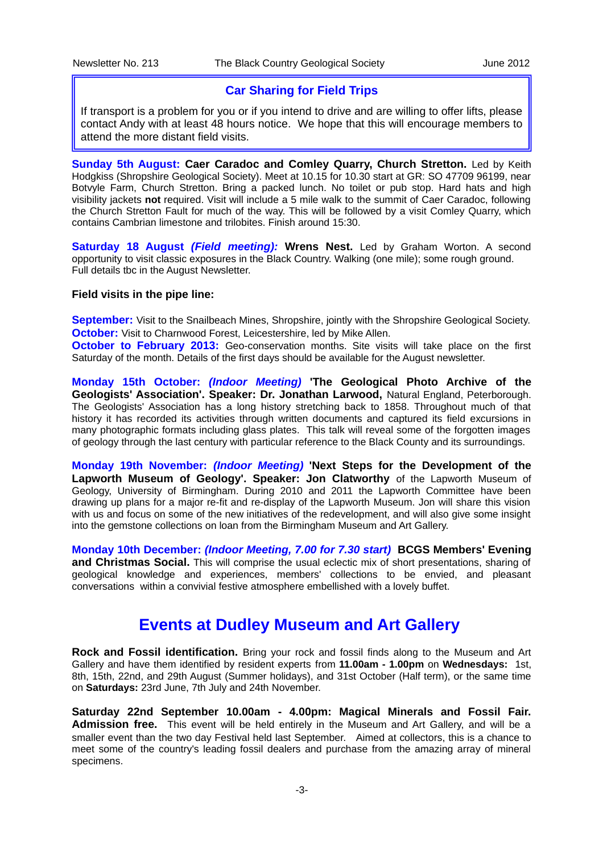#### **Car Sharing for Field Trips**

If transport is a problem for you or if you intend to drive and are willing to offer lifts, please contact Andy with at least 48 hours notice. We hope that this will encourage members to attend the more distant field visits.

**Sunday 5th August: Caer Caradoc and Comley Quarry, Church Stretton.** Led by Keith Hodgkiss (Shropshire Geological Society). Meet at 10.15 for 10.30 start at GR: SO 47709 96199, near Botvyle Farm, Church Stretton. Bring a packed lunch. No toilet or pub stop. Hard hats and high visibility jackets **not** required. Visit will include a 5 mile walk to the summit of Caer Caradoc, following the Church Stretton Fault for much of the way. This will be followed by a visit Comley Quarry, which contains Cambrian limestone and trilobites. Finish around 15:30.

**Saturday 18 August** *(Field meeting):* **Wrens Nest.** Led by Graham Worton. A second opportunity to visit classic exposures in the Black Country. Walking (one mile); some rough ground. Full details tbc in the August Newsletter.

#### **Field visits in the pipe line:**

**September:** Visit to the Snailbeach Mines, Shropshire, jointly with the Shropshire Geological Society. **October:** Visit to Charnwood Forest, Leicestershire, led by Mike Allen.

**October to February 2013:** Geo-conservation months. Site visits will take place on the first Saturday of the month. Details of the first days should be available for the August newsletter.

**Monday 15th October:** *(Indoor Meeting)* **'The Geological Photo Archive of the Geologists' Association'. Speaker: Dr. Jonathan Larwood,** Natural England, Peterborough. The Geologists' Association has a long history stretching back to 1858. Throughout much of that history it has recorded its activities through written documents and captured its field excursions in many photographic formats including glass plates. This talk will reveal some of the forgotten images of geology through the last century with particular reference to the Black County and its surroundings.

**Monday 19th November:** *(Indoor Meeting)* **'Next Steps for the Development of the Lapworth Museum of Geology'. Speaker: Jon Clatworthy** of the Lapworth Museum of Geology, University of Birmingham. During 2010 and 2011 the Lapworth Committee have been drawing up plans for a major re-fit and re-display of the Lapworth Museum. Jon will share this vision with us and focus on some of the new initiatives of the redevelopment, and will also give some insight into the gemstone collections on loan from the Birmingham Museum and Art Gallery.

**Monday 10th December:** *(Indoor Meeting, 7.00 for 7.30 start)* **BCGS Members' Evening and Christmas Social.** This will comprise the usual eclectic mix of short presentations, sharing of geological knowledge and experiences, members' collections to be envied, and pleasant conversations within a convivial festive atmosphere embellished with a lovely buffet.

# **Events at Dudley Museum and Art Gallery**

**Rock and Fossil identification.** Bring your rock and fossil finds along to the Museum and Art Gallery and have them identified by resident experts from **11.00am - 1.00pm** on **Wednesdays:** 1st, 8th, 15th, 22nd, and 29th August (Summer holidays), and 31st October (Half term), or the same time on **Saturdays:** 23rd June, 7th July and 24th November.

**Saturday 22nd September 10.00am - 4.00pm: Magical Minerals and Fossil Fair. Admission free.** This event will be held entirely in the Museum and Art Gallery, and will be a smaller event than the two day Festival held last September. Aimed at collectors, this is a chance to meet some of the country's leading fossil dealers and purchase from the amazing array of mineral specimens.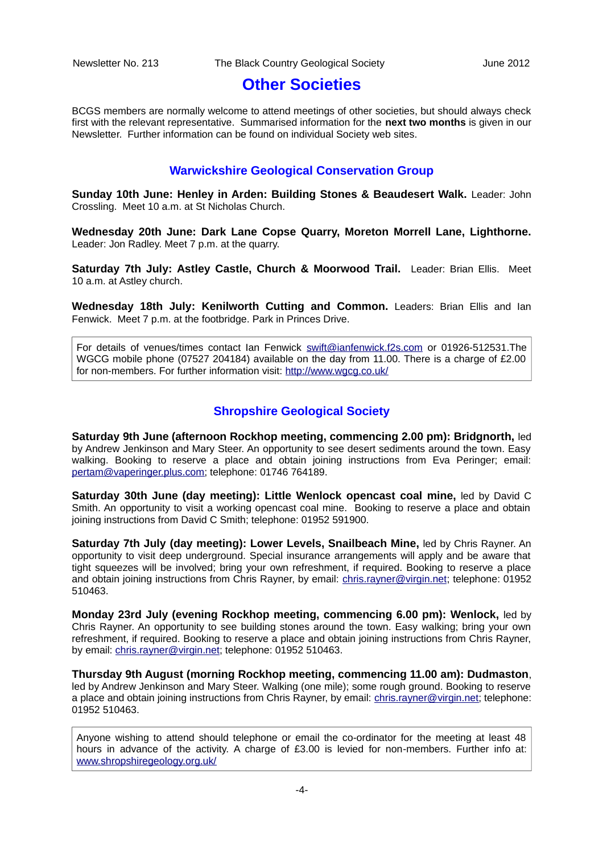# **Other Societies**

BCGS members are normally welcome to attend meetings of other societies, but should always check first with the relevant representative. Summarised information for the **next two months** is given in our Newsletter. Further information can be found on individual Society web sites.

#### **Warwickshire Geological Conservation Group**

**Sunday 10th June: Henley in Arden: Building Stones & Beaudesert Walk.** Leader: John Crossling. Meet 10 a.m. at St Nicholas Church.

**Wednesday 20th June: Dark Lane Copse Quarry, Moreton Morrell Lane, Lighthorne.** Leader: Jon Radley. Meet 7 p.m. at the quarry.

**Saturday 7th July: Astley Castle, Church & Moorwood Trail.** Leader: Brian Ellis. Meet 10 a.m. at Astley church.

**Wednesday 18th July: Kenilworth Cutting and Common.** Leaders: Brian Ellis and Ian Fenwick. Meet 7 p.m. at the footbridge. Park in Princes Drive.

For details of venues/times contact Ian Fenwick [swift@ianfenwick.f2s.com](mailto:swift@ianfenwick.f2s.com) or 01926-512531.The WGCG mobile phone (07527 204184) available on the day from 11.00. There is a charge of £2.00 for non-members. For further information visit:<http://www.wgcg.co.uk/>

#### **Shropshire Geological Society**

**Saturday 9th June (afternoon Rockhop meeting, commencing 2.00 pm): Bridgnorth,** led by Andrew Jenkinson and Mary Steer. An opportunity to see desert sediments around the town. Easy walking. Booking to reserve a place and obtain joining instructions from Eva Peringer; email: [pertam@vaperinger.plus.com;](mailto:pertam@vaperinger.plus.com) telephone: 01746 764189.

**Saturday 30th June (day meeting): Little Wenlock opencast coal mine,** led by David C Smith. An opportunity to visit a working opencast coal mine. Booking to reserve a place and obtain joining instructions from David C Smith; telephone: 01952 591900.

**Saturday 7th July (day meeting): Lower Levels, Snailbeach Mine,** led by Chris Rayner. An opportunity to visit deep underground. Special insurance arrangements will apply and be aware that tight squeezes will be involved; bring your own refreshment, if required. Booking to reserve a place and obtain joining instructions from Chris Rayner, by email: *chris.rayner@virgin.net*; telephone: 01952 510463.

**Monday 23rd July (evening Rockhop meeting, commencing 6.00 pm): Wenlock,** led by Chris Rayner. An opportunity to see building stones around the town. Easy walking; bring your own refreshment, if required. Booking to reserve a place and obtain joining instructions from Chris Rayner, by email: [chris.rayner@virgin.net;](mailto:chris.rayner@virgin.net) telephone: 01952 510463.

**Thursday 9th August (morning Rockhop meeting, commencing 11.00 am): Dudmaston**, led by Andrew Jenkinson and Mary Steer. Walking (one mile); some rough ground. Booking to reserve a place and obtain joining instructions from Chris Rayner, by email: [chris.rayner@virgin.net;](mailto:chris.rayner@virgin.net) telephone: 01952 510463.

Anyone wishing to attend should telephone or email the co-ordinator for the meeting at least 48 hours in advance of the activity. A charge of £3.00 is levied for non-members. Further info at: [www.shropshiregeology.org.uk/](http://www.shropshiregeology.org.uk/)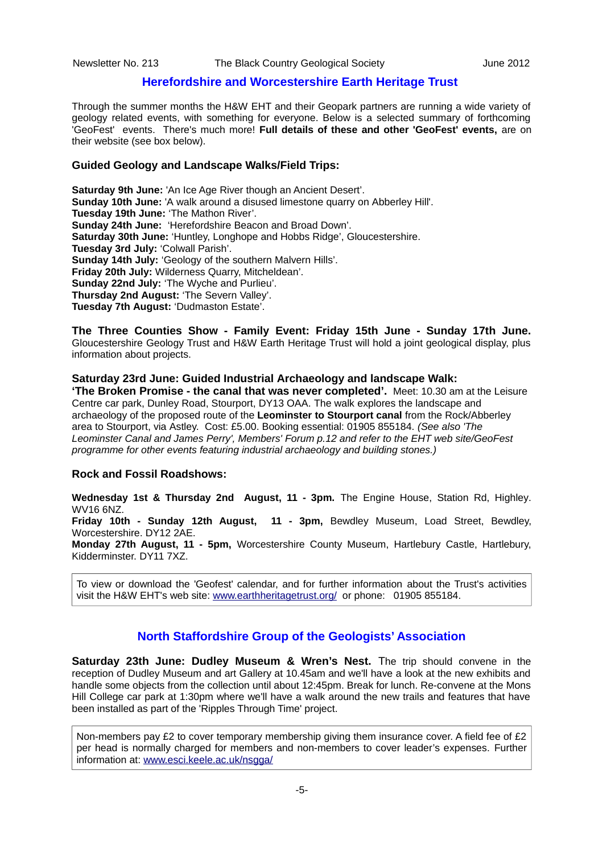#### **Herefordshire and Worcestershire Earth Heritage Trust**

Through the summer months the H&W EHT and their Geopark partners are running a wide variety of geology related events, with something for everyone. Below is a selected summary of forthcoming 'GeoFest' events. There's much more! **Full details of these and other 'GeoFest' events,** are on their website (see box below).

#### **Guided Geology and Landscape Walks/Field Trips:**

**Saturday 9th June:** 'An Ice Age River though an Ancient Desert'. **Sunday 10th June:** 'A walk around a disused limestone quarry on Abberley Hill'. **Tuesday 19th June:** 'The Mathon River'. **Sunday 24th June:** 'Herefordshire Beacon and Broad Down'. **Saturday 30th June:** 'Huntley, Longhope and Hobbs Ridge', Gloucestershire. **Tuesday 3rd July:** 'Colwall Parish'. **Sunday 14th July:** 'Geology of the southern Malvern Hills'. **Friday 20th July:** Wilderness Quarry, Mitcheldean'. **Sunday 22nd July:** 'The Wyche and Purlieu'. **Thursday 2nd August:** 'The Severn Valley'. **Tuesday 7th August:** 'Dudmaston Estate'.

**The Three Counties Show - Family Event: Friday 15th June - Sunday 17th June.** Gloucestershire Geology Trust and H&W Earth Heritage Trust will hold a joint geological display, plus information about projects.

#### **Saturday 23rd June: Guided Industrial Archaeology and landscape Walk:**

**'The Broken Promise - the canal that was never completed'.** Meet: 10.30 am at the Leisure Centre car park, Dunley Road, Stourport, DY13 OAA. The walk explores the landscape and archaeology of the proposed route of the **Leominster to Stourport canal** from the Rock/Abberley area to Stourport, via Astley. Cost: £5.00. Booking essential: 01905 855184. *(See also 'The Leominster Canal and James Perry', Members' Forum p.12 and refer to the EHT web site/GeoFest programme for other events featuring industrial archaeology and building stones.)*

#### **Rock and Fossil Roadshows:**

**Wednesday 1st & Thursday 2nd August, 11 - 3pm.** The Engine House, Station Rd, Highley. WV16 6NZ.

**Friday 10th - Sunday 12th August, 11 - 3pm,** Bewdley Museum, Load Street, Bewdley, Worcestershire. DY12 2AE.

**Monday 27th August, 11 - 5pm,** Worcestershire County Museum, Hartlebury Castle, Hartlebury, Kidderminster. DY11 7XZ.

To view or download the 'Geofest' calendar, and for further information about the Trust's activities visit the H&W EHT's web site: [www.earthheritagetrust.org/](http://www.earthheritagetrust.org/) or phone: 01905 855184.

#### **North Staffordshire Group of the Geologists' Association**

**Saturday 23th June: Dudley Museum & Wren's Nest.** The trip should convene in the reception of Dudley Museum and art Gallery at 10.45am and we'll have a look at the new exhibits and handle some objects from the collection until about 12:45pm. Break for lunch. Re-convene at the Mons Hill College car park at 1:30pm where we'll have a walk around the new trails and features that have been installed as part of the 'Ripples Through Time' project.

Non-members pay £2 to cover temporary membership giving them insurance cover. A field fee of £2 per head is normally charged for members and non-members to cover leader's expenses. Further information at: [www.esci.keele.ac.uk/nsgga/](http://www.esci.keele.ac.uk/nsgga/)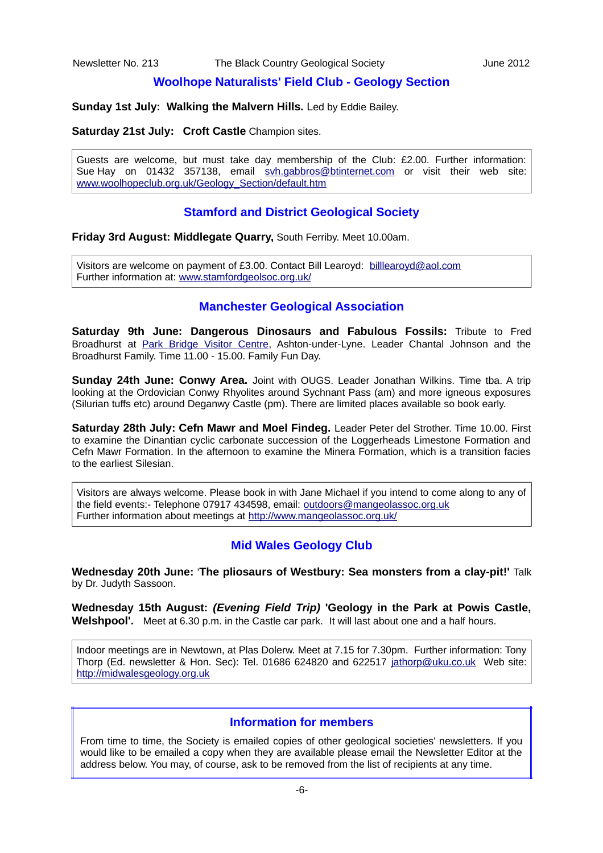#### **Woolhope Naturalists' Field Club - Geology Section**

**Sunday 1st July: Walking the Malvern Hills.** Led by Eddie Bailey.

#### **Saturday 21st July: Croft Castle** Champion sites.

Guests are welcome, but must take day membership of the Club: £2.00. Further information: Sue Hay on 01432 357138, email [svh.gabbros@btinternet.com](mailto:svh.gabbros@btinternet.com) or visit their web site: [www.woolhopeclub.org.uk/Geology\\_Section/default.htm](http://www.woolhopeclub.org.uk/Geology_Section/default.htm)

#### **Stamford and District Geological Society**

**Friday 3rd August: Middlegate Quarry,** South Ferriby. Meet 10.00am.

Visitors are welcome on payment of £3.00. Contact Bill Learoyd: [billlearoyd@aol.com](mailto:billlearoyd@aol.com)  Further information at: [www.stamfordgeolsoc.org.uk/](http://www.stamfordgeolsoc.org.uk/)

#### **Manchester Geological Association**

**Saturday 9th June: Dangerous Dinosaurs and Fabulous Fossils:** Tribute to Fred Broadhurst at [Park Bridge Visitor Centre,](http://www.tameside.gov.uk/parkbridge) Ashton-under-Lyne. Leader Chantal Johnson and the Broadhurst Family. Time 11.00 - 15.00. Family Fun Day.

**Sunday 24th June: Conwy Area.** Joint with OUGS. Leader Jonathan Wilkins. Time tba. A trip looking at the Ordovician Conwy Rhyolites around Sychnant Pass (am) and more igneous exposures (Silurian tuffs etc) around Deganwy Castle (pm). There are limited places available so book early.

**Saturday 28th July: Cefn Mawr and Moel Findeg.** Leader Peter del Strother. Time 10.00. First to examine the Dinantian cyclic carbonate succession of the Loggerheads Limestone Formation and Cefn Mawr Formation. In the afternoon to examine the Minera Formation, which is a transition facies to the earliest Silesian.

Visitors are always welcome. Please book in with Jane Michael if you intend to come along to any of the field events:- Telephone 07917 434598, email: [outdoors@mangeolassoc.org.uk](mailto:outdoors@mangeolassoc.org.uk) Further information about meetings at<http://www.mangeolassoc.org.uk/>

#### **Mid Wales Geology Club**

**Wednesday 20th June:** '**The pliosaurs of Westbury: Sea monsters from a clay-pit!'** Talk by Dr. Judyth Sassoon.

**Wednesday 15th August:** *(Evening Field Trip)* **'Geology in the Park at Powis Castle, Welshpool'.**Meet at 6.30 p.m. in the Castle car park. It will last about one and a half hours.

Indoor meetings are in Newtown, at Plas Dolerw. Meet at 7.15 for 7.30pm. Further information: Tony Thorp (Ed. newsletter & Hon. Sec): Tel. 01686 624820 and 622517 [jathorp@uku.co.uk](mailto:jathorp@uku.co.uk) Web site: [http://midwalesgeology.org.uk](http://midwalesgeology.org.uk/)

#### **Information for members**

From time to time, the Society is emailed copies of other geological societies' newsletters. If you would like to be emailed a copy when they are available please email the Newsletter Editor at the address below. You may, of course, ask to be removed from the list of recipients at any time.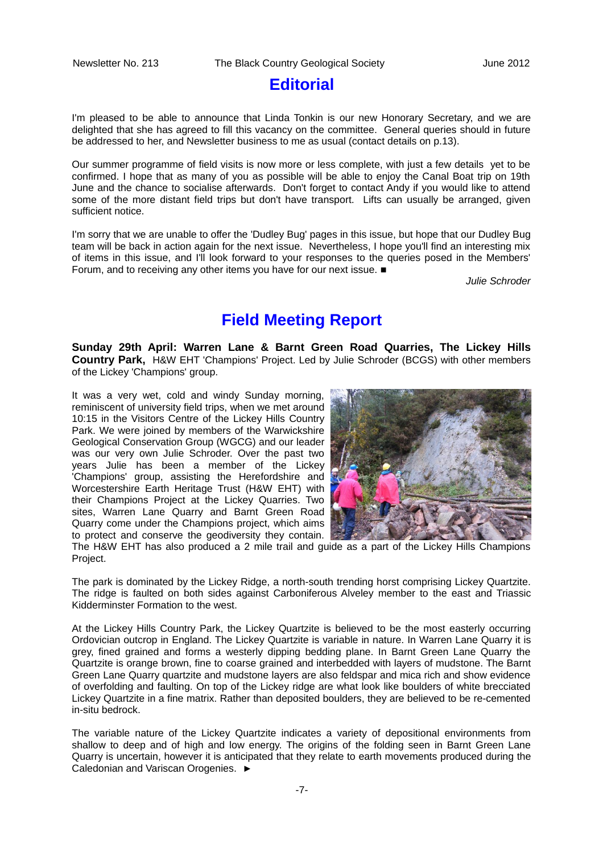# **Editorial**

I'm pleased to be able to announce that Linda Tonkin is our new Honorary Secretary, and we are delighted that she has agreed to fill this vacancy on the committee. General queries should in future be addressed to her, and Newsletter business to me as usual (contact details on p.13).

Our summer programme of field visits is now more or less complete, with just a few details yet to be confirmed. I hope that as many of you as possible will be able to enjoy the Canal Boat trip on 19th June and the chance to socialise afterwards. Don't forget to contact Andy if you would like to attend some of the more distant field trips but don't have transport. Lifts can usually be arranged, given sufficient notice.

I'm sorry that we are unable to offer the 'Dudley Bug' pages in this issue, but hope that our Dudley Bug team will be back in action again for the next issue. Nevertheless, I hope you'll find an interesting mix of items in this issue, and I'll look forward to your responses to the queries posed in the Members' Forum, and to receiving any other items you have for our next issue. ■

*Julie Schroder*

# **Field Meeting Report**

**Sunday 29th April: Warren Lane & Barnt Green Road Quarries, The Lickey Hills Country Park,** H&W EHT 'Champions' Project. Led by Julie Schroder (BCGS) with other members of the Lickey 'Champions' group.

It was a very wet, cold and windy Sunday morning, reminiscent of university field trips, when we met around 10:15 in the Visitors Centre of the Lickey Hills Country Park. We were joined by members of the Warwickshire Geological Conservation Group (WGCG) and our leader was our very own Julie Schroder. Over the past two years Julie has been a member of the Lickey 'Champions' group, assisting the Herefordshire and Worcestershire Earth Heritage Trust (H&W EHT) with their Champions Project at the Lickey Quarries. Two sites, Warren Lane Quarry and Barnt Green Road Quarry come under the Champions project, which aims to protect and conserve the geodiversity they contain.



The H&W EHT has also produced a 2 mile trail and guide as a part of the Lickey Hills Champions Project.

The park is dominated by the Lickey Ridge, a north-south trending horst comprising Lickey Quartzite. The ridge is faulted on both sides against Carboniferous Alveley member to the east and Triassic Kidderminster Formation to the west.

At the Lickey Hills Country Park, the Lickey Quartzite is believed to be the most easterly occurring Ordovician outcrop in England. The Lickey Quartzite is variable in nature. In Warren Lane Quarry it is grey, fined grained and forms a westerly dipping bedding plane. In Barnt Green Lane Quarry the Quartzite is orange brown, fine to coarse grained and interbedded with layers of mudstone. The Barnt Green Lane Quarry quartzite and mudstone layers are also feldspar and mica rich and show evidence of overfolding and faulting. On top of the Lickey ridge are what look like boulders of white brecciated Lickey Quartzite in a fine matrix. Rather than deposited boulders, they are believed to be re-cemented in-situ bedrock.

The variable nature of the Lickey Quartzite indicates a variety of depositional environments from shallow to deep and of high and low energy. The origins of the folding seen in Barnt Green Lane Quarry is uncertain, however it is anticipated that they relate to earth movements produced during the Caledonian and Variscan Orogenies. ►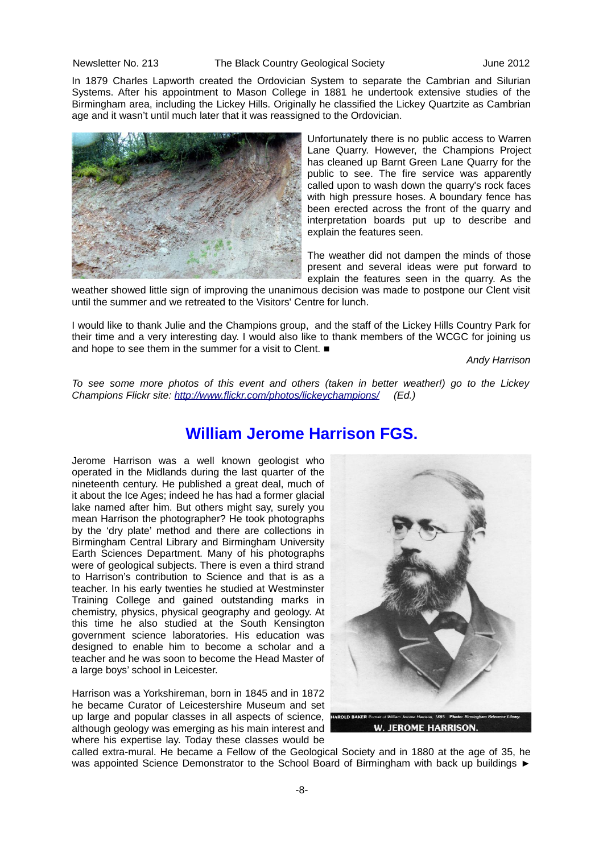#### Newsletter No. 213 The Black Country Geological Society June 2012

In 1879 Charles Lapworth created the Ordovician System to separate the Cambrian and Silurian Systems. After his appointment to Mason College in 1881 he undertook extensive studies of the Birmingham area, including the Lickey Hills. Originally he classified the Lickey Quartzite as Cambrian age and it wasn't until much later that it was reassigned to the Ordovician.



Unfortunately there is no public access to Warren Lane Quarry. However, the Champions Project has cleaned up Barnt Green Lane Quarry for the public to see. The fire service was apparently called upon to wash down the quarry's rock faces with high pressure hoses. A boundary fence has been erected across the front of the quarry and interpretation boards put up to describe and explain the features seen.

The weather did not dampen the minds of those present and several ideas were put forward to explain the features seen in the quarry. As the

weather showed little sign of improving the unanimous decision was made to postpone our Clent visit until the summer and we retreated to the Visitors' Centre for lunch.

I would like to thank Julie and the Champions group, and the staff of the Lickey Hills Country Park for their time and a very interesting day. I would also like to thank members of the WCGC for joining us and hope to see them in the summer for a visit to Clent. ■

*Andy Harrison*

*To see some more photos of this event and others (taken in better weather!) go to the Lickey Champions Flickr site:<http://www.flickr.com/photos/lickeychampions/>(Ed.)*

# **William Jerome Harrison FGS.**

Jerome Harrison was a well known geologist who operated in the Midlands during the last quarter of the nineteenth century. He published a great deal, much of it about the Ice Ages; indeed he has had a former glacial lake named after him. But others might say, surely you mean Harrison the photographer? He took photographs by the 'dry plate' method and there are collections in Birmingham Central Library and Birmingham University Earth Sciences Department. Many of his photographs were of geological subjects. There is even a third strand to Harrison's contribution to Science and that is as a teacher. In his early twenties he studied at Westminster Training College and gained outstanding marks in chemistry, physics, physical geography and geology. At this time he also studied at the South Kensington government science laboratories. His education was designed to enable him to become a scholar and a teacher and he was soon to become the Head Master of a large boys' school in Leicester.

Harrison was a Yorkshireman, born in 1845 and in 1872 he became Curator of Leicestershire Museum and set up large and popular classes in all aspects of science, although geology was emerging as his main interest and where his expertise lay. Today these classes would be



called extra-mural. He became a Fellow of the Geological Society and in 1880 at the age of 35, he was appointed Science Demonstrator to the School Board of Birmingham with back up buildings ►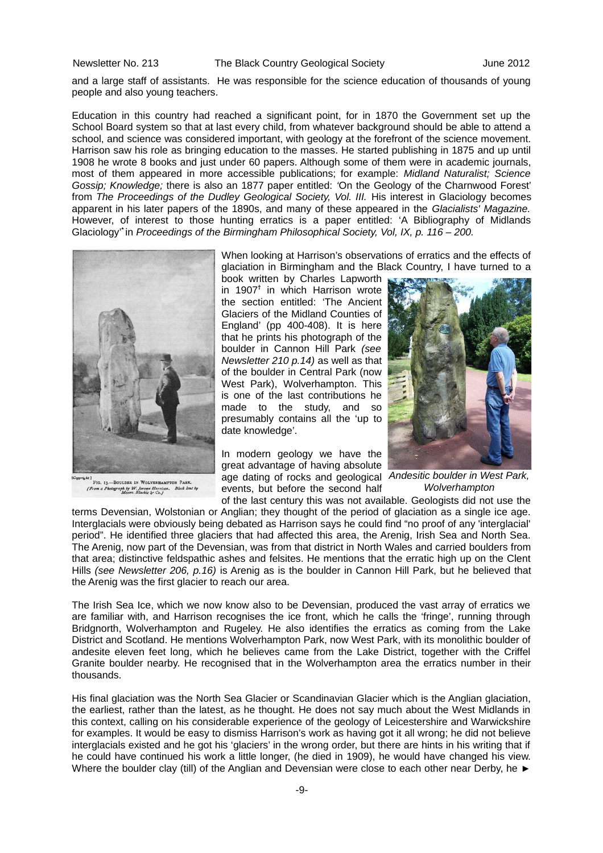and a large staff of assistants. He was responsible for the science education of thousands of young people and also young teachers.

Education in this country had reached a significant point, for in 1870 the Government set up the School Board system so that at last every child, from whatever background should be able to attend a school, and science was considered important, with geology at the forefront of the science movement. Harrison saw his role as bringing education to the masses. He started publishing in 1875 and up until 1908 he wrote 8 books and just under 60 papers. Although some of them were in academic journals, most of them appeared in more accessible publications; for example: *Midland Naturalist; Science Gossip; Knowledge;* there is also an 1877 paper entitled: *'*On the Geology of the Charnwood Forest' from *The Proceedings of the Dudley Geological Society, Vol. III.* His interest in Glaciology becomes apparent in his later papers of the 1890s, and many of these appeared in the *Glacialists' Magazine.* However, of interest to those hunting erratics is a paper entitled: 'A Bibliography of Midlands Glaciology'**\*** in *Proceedings of the Birmingham Philosophical Society, Vol, IX, p. 116 – 200.*



ERE PIG. 13.-BOULDER IN WOLVERHAMPTON PARK. olograph by W. Jerome Harrison.<br>Messrs. Blackie & Co. j

When looking at Harrison's observations of erratics and the effects of glaciation in Birmingham and the Black Country, I have turned to a

book written by Charles Lapworth in 1907**†** in which Harrison wrote the section entitled: 'The Ancient Glaciers of the Midland Counties of England' (pp 400-408). It is here that he prints his photograph of the boulder in Cannon Hill Park *(see Newsletter 210 p.14)* as well as that of the boulder in Central Park (now West Park), Wolverhampton, This is one of the last contributions he made to the study, and so presumably contains all the 'up to date knowledge'.

In modern geology we have the great advantage of having absolute age dating of rocks and geological *Andesitic boulder in West Park,* events, but before the second half of the last century this was not available. Geologists did not use the



*Wolverhampton*

terms Devensian, Wolstonian or Anglian; they thought of the period of glaciation as a single ice age. Interglacials were obviously being debated as Harrison says he could find "no proof of any 'interglacial' period". He identified three glaciers that had affected this area, the Arenig, Irish Sea and North Sea. The Arenig, now part of the Devensian, was from that district in North Wales and carried boulders from that area; distinctive feldspathic ashes and felsites. He mentions that the erratic high up on the Clent Hills *(see Newsletter 206, p.16)* is Arenig as is the boulder in Cannon Hill Park, but he believed that the Arenig was the first glacier to reach our area.

The Irish Sea Ice, which we now know also to be Devensian, produced the vast array of erratics we are familiar with, and Harrison recognises the ice front, which he calls the 'fringe', running through Bridgnorth, Wolverhampton and Rugeley. He also identifies the erratics as coming from the Lake District and Scotland. He mentions Wolverhampton Park, now West Park, with its monolithic boulder of andesite eleven feet long, which he believes came from the Lake District, together with the Criffel Granite boulder nearby. He recognised that in the Wolverhampton area the erratics number in their thousands.

His final glaciation was the North Sea Glacier or Scandinavian Glacier which is the Anglian glaciation, the earliest, rather than the latest, as he thought. He does not say much about the West Midlands in this context, calling on his considerable experience of the geology of Leicestershire and Warwickshire for examples. It would be easy to dismiss Harrison's work as having got it all wrong; he did not believe interglacials existed and he got his 'glaciers' in the wrong order, but there are hints in his writing that if he could have continued his work a little longer, (he died in 1909), he would have changed his view. Where the boulder clay (till) of the Anglian and Devensian were close to each other near Derby, he ►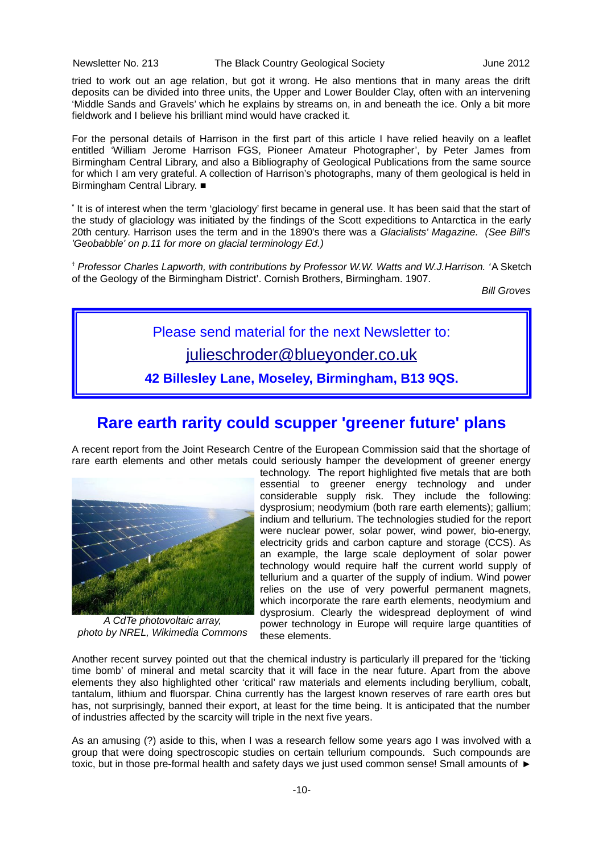Newsletter No. 213 The Black Country Geological Society June 2012

tried to work out an age relation, but got it wrong. He also mentions that in many areas the drift deposits can be divided into three units, the Upper and Lower Boulder Clay, often with an intervening 'Middle Sands and Gravels' which he explains by streams on, in and beneath the ice. Only a bit more fieldwork and I believe his brilliant mind would have cracked it.

For the personal details of Harrison in the first part of this article I have relied heavily on a leaflet entitled 'William Jerome Harrison FGS, Pioneer Amateur Photographer', by Peter James from Birmingham Central Library, and also a Bibliography of Geological Publications from the same source for which I am very grateful. A collection of Harrison's photographs, many of them geological is held in Birmingham Central Library. ■

**\*** It is of interest when the term 'glaciology' first became in general use. It has been said that the start of the study of glaciology was initiated by the findings of the Scott expeditions to Antarctica in the early 20th century. Harrison uses the term and in the 1890's there was a *Glacialists' Magazine. (See Bill's 'Geobabble' on p.11 for more on glacial terminology Ed.)*

**†** *Professor Charles Lapworth, with contributions by Professor W.W. Watts and W.J.Harrison. '*A Sketch of the Geology of the Birmingham District'. Cornish Brothers, Birmingham. 1907.

*Bill Groves*

Please send material for the next Newsletter to: [julieschroder@blueyonder.co.uk](mailto:julieschroder@blueyonder.co.uk)

**42 Billesley Lane, Moseley, Birmingham, B13 9QS.**

# **Rare earth rarity could scupper 'greener future' plans**

A recent report from the Joint Research Centre of the European Commission said that the shortage of rare earth elements and other metals could seriously hamper the development of greener energy



*A CdTe photovoltaic array, photo by NREL, Wikimedia Commons*

technology. The report highlighted five metals that are both essential to greener energy technology and under considerable supply risk. They include the following: dysprosium; neodymium (both rare earth elements); gallium; indium and tellurium. The technologies studied for the report were nuclear power, solar power, wind power, bio-energy, electricity grids and carbon capture and storage (CCS). As an example, the large scale deployment of solar power technology would require half the current world supply of tellurium and a quarter of the supply of indium. Wind power relies on the use of very powerful permanent magnets, which incorporate the rare earth elements, neodymium and dysprosium. Clearly the widespread deployment of wind power technology in Europe will require large quantities of these elements.

Another recent survey pointed out that the chemical industry is particularly ill prepared for the 'ticking time bomb' of mineral and metal scarcity that it will face in the near future. Apart from the above elements they also highlighted other 'critical' raw materials and elements including beryllium, cobalt, tantalum, lithium and fluorspar. China currently has the largest known reserves of rare earth ores but has, not surprisingly, banned their export, at least for the time being. It is anticipated that the number of industries affected by the scarcity will triple in the next five years.

As an amusing (?) aside to this, when I was a research fellow some years ago I was involved with a group that were doing spectroscopic studies on certain tellurium compounds. Such compounds are toxic, but in those pre-formal health and safety days we just used common sense! Small amounts of ►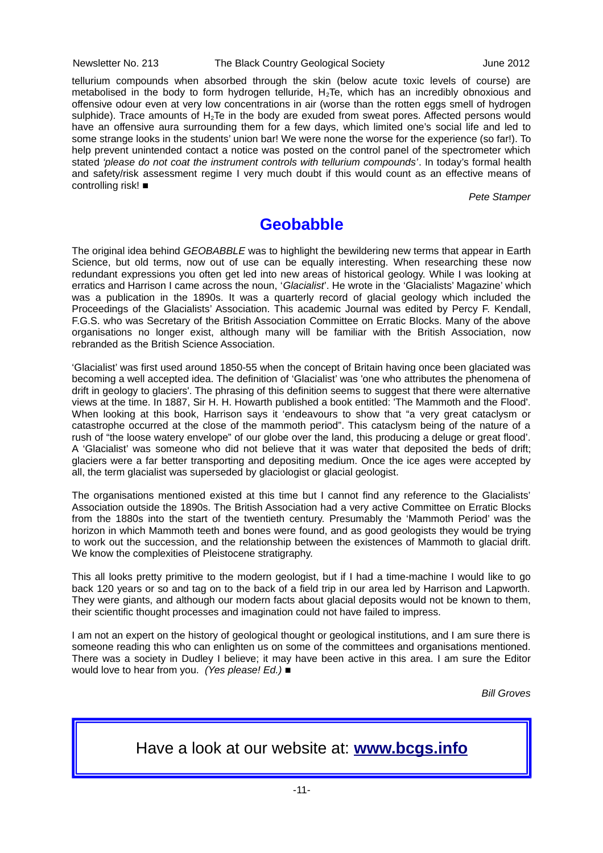#### Newsletter No. 213 The Black Country Geological Society June 2012

tellurium compounds when absorbed through the skin (below acute toxic levels of course) are metabolised in the body to form hydrogen telluride,  $H_2T$ e, which has an incredibly obnoxious and offensive odour even at very low concentrations in air (worse than the rotten eggs smell of hydrogen sulphide). Trace amounts of  $H_2$ Te in the body are exuded from sweat pores. Affected persons would have an offensive aura surrounding them for a few days, which limited one's social life and led to some strange looks in the students' union bar! We were none the worse for the experience (so far!). To help prevent unintended contact a notice was posted on the control panel of the spectrometer which stated *'please do not coat the instrument controls with tellurium compounds'*. In today's formal health and safety/risk assessment regime I very much doubt if this would count as an effective means of controlling risk! ■

*Pete Stamper*

# **Geobabble**

The original idea behind *GEOBABBLE* was to highlight the bewildering new terms that appear in Earth Science, but old terms, now out of use can be equally interesting. When researching these now redundant expressions you often get led into new areas of historical geology. While I was looking at erratics and Harrison I came across the noun, '*Glacialist*'. He wrote in the 'Glacialists' Magazine' which was a publication in the 1890s. It was a quarterly record of glacial geology which included the Proceedings of the Glacialists' Association. This academic Journal was edited by Percy F. Kendall, F.G.S. who was Secretary of the British Association Committee on Erratic Blocks. Many of the above organisations no longer exist, although many will be familiar with the British Association, now rebranded as the British Science Association.

'Glacialist' was first used around 1850-55 when the concept of Britain having once been glaciated was becoming a well accepted idea. The definition of 'Glacialist' was 'one who attributes the phenomena of drift in geology to glaciers'. The phrasing of this definition seems to suggest that there were alternative views at the time. In 1887, Sir H. H. Howarth published a book entitled: 'The Mammoth and the Flood'. When looking at this book, Harrison says it 'endeavours to show that "a very great cataclysm or catastrophe occurred at the close of the mammoth period". This cataclysm being of the nature of a rush of "the loose watery envelope" of our globe over the land, this producing a deluge or great flood'. A 'Glacialist' was someone who did not believe that it was water that deposited the beds of drift; glaciers were a far better transporting and depositing medium. Once the ice ages were accepted by all, the term glacialist was superseded by glaciologist or glacial geologist.

The organisations mentioned existed at this time but I cannot find any reference to the Glacialists' Association outside the 1890s. The British Association had a very active Committee on Erratic Blocks from the 1880s into the start of the twentieth century. Presumably the 'Mammoth Period' was the horizon in which Mammoth teeth and bones were found, and as good geologists they would be trying to work out the succession, and the relationship between the existences of Mammoth to glacial drift. We know the complexities of Pleistocene stratigraphy.

This all looks pretty primitive to the modern geologist, but if I had a time-machine I would like to go back 120 years or so and tag on to the back of a field trip in our area led by Harrison and Lapworth. They were giants, and although our modern facts about glacial deposits would not be known to them, their scientific thought processes and imagination could not have failed to impress.

I am not an expert on the history of geological thought or geological institutions, and I am sure there is someone reading this who can enlighten us on some of the committees and organisations mentioned. There was a society in Dudley I believe; it may have been active in this area. I am sure the Editor would love to hear from you. *(Yes please! Ed.) ■*

*Bill Groves*

# Have a look at our website at: **[www.bcgs.info](http://www.bcgs.info/)**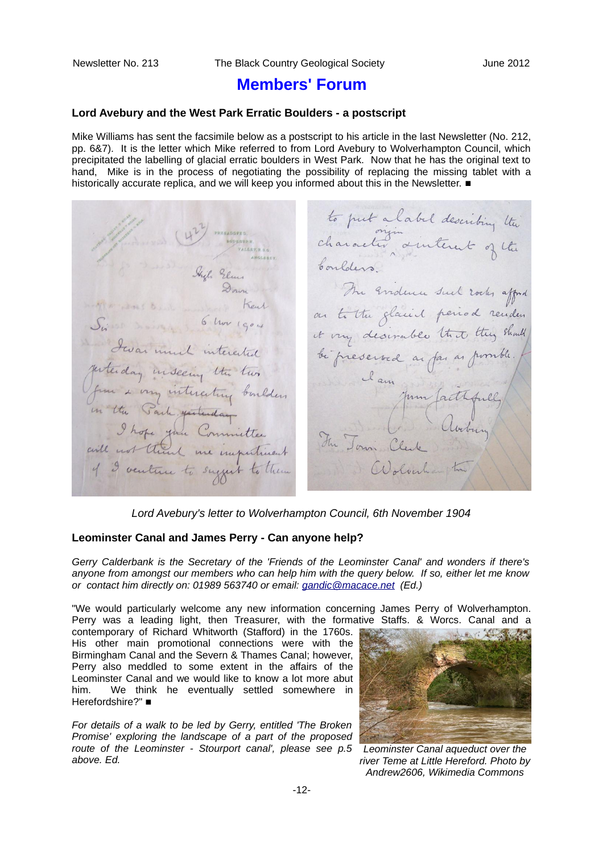# **Members' Forum**

#### **Lord Avebury and the West Park Erratic Boulders - a postscript**

Mike Williams has sent the facsimile below as a postscript to his article in the last Newsletter (No. 212, pp. 6&7). It is the letter which Mike referred to from Lord Avebury to Wolverhampton Council, which precipitated the labelling of glacial erratic boulders in West Park. Now that he has the original text to hand, Mike is in the process of negotiating the possibility of replacing the missing tablet with a historically accurate replica, and we will keep you informed about this in the Newsletter. ■

to put a label describing the ANGLESEY The Evidence such rocks afford on to the glacied period renders<br>it vry desirable that they should b hor 1904 bi preserved as fai as pomble. Jestenday inseeing the two Jem & von interesting boulders<br>un the Sach particulary boulders<br>I hope you Committee Fun James Jum factifully of I venture to suggest to them

*Lord Avebury's letter to Wolverhampton Council, 6th November 1904*

#### **Leominster Canal and James Perry - Can anyone help?**

*Gerry Calderbank is the Secretary of the 'Friends of the Leominster Canal' and wonders if there's anyone from amongst our members who can help him with the query below. If so, either let me know or contact him directly on: 01989 563740 or email: [gandic@macace.net](mailto:gandic@macace.net) (Ed.)*

"We would particularly welcome any new information concerning James Perry of Wolverhampton. Perry was a leading light, then Treasurer, with the formative Staffs. & Worcs. Canal and a

contemporary of Richard Whitworth (Stafford) in the 1760s. His other main promotional connections were with the Birmingham Canal and the Severn & Thames Canal; however, Perry also meddled to some extent in the affairs of the Leominster Canal and we would like to know a lot more abut him. We think he eventually settled somewhere in Herefordshire?" ■

*For details of a walk to be led by Gerry, entitled 'The Broken Promise' exploring the landscape of a part of the proposed route of the Leominster - Stourport canal', please see p.5 above. Ed.*



*Leominster Canal aqueduct over the river Teme at Little Hereford. Photo by Andrew2606, Wikimedia Commons*